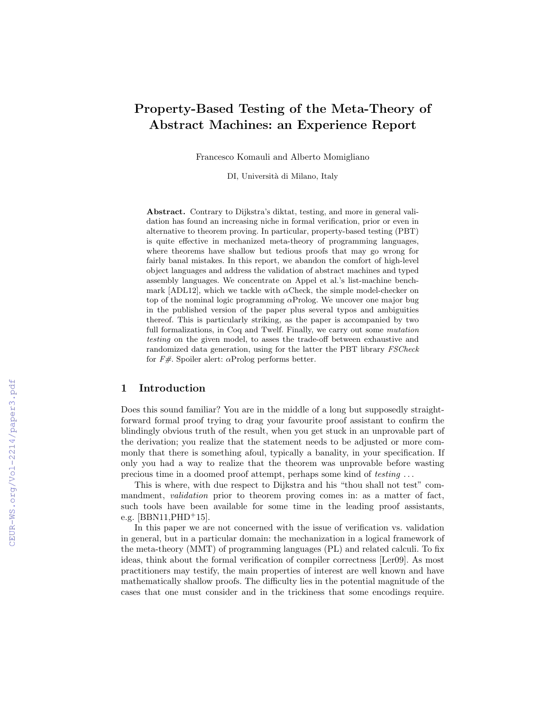# Property-Based Testing of the Meta-Theory of Abstract Machines: an Experience Report

Francesco Komauli and Alberto Momigliano

DI, Università di Milano, Italy

Abstract. Contrary to Dijkstra's diktat, testing, and more in general validation has found an increasing niche in formal verification, prior or even in alternative to theorem proving. In particular, property-based testing (PBT) is quite effective in mechanized meta-theory of programming languages, where theorems have shallow but tedious proofs that may go wrong for fairly banal mistakes. In this report, we abandon the comfort of high-level object languages and address the validation of abstract machines and typed assembly languages. We concentrate on Appel et al.'s list-machine benchmark [ADL12], which we tackle with  $\alpha$ Check, the simple model-checker on top of the nominal logic programming  $\alpha$ Prolog. We uncover one major bug in the published version of the paper plus several typos and ambiguities thereof. This is particularly striking, as the paper is accompanied by two full formalizations, in Coq and Twelf. Finally, we carry out some *mutation* testing on the given model, to asses the trade-off between exhaustive and randomized data generation, using for the latter the PBT library FSCheck for  $F#$ . Spoiler alert:  $\alpha$ Prolog performs better.

### 1 Introduction

Does this sound familiar? You are in the middle of a long but supposedly straightforward formal proof trying to drag your favourite proof assistant to confirm the blindingly obvious truth of the result, when you get stuck in an unprovable part of the derivation; you realize that the statement needs to be adjusted or more commonly that there is something afoul, typically a banality, in your specification. If only you had a way to realize that the theorem was unprovable before wasting precious time in a doomed proof attempt, perhaps some kind of testing . . .

This is where, with due respect to Dijkstra and his "thou shall not test" commandment, *validation* prior to theorem proving comes in: as a matter of fact, such tools have been available for some time in the leading proof assistants, e.g.  $[BBN11,PHD+15]$ .

In this paper we are not concerned with the issue of verification vs. validation in general, but in a particular domain: the mechanization in a logical framework of the meta-theory (MMT) of programming languages (PL) and related calculi. To fix ideas, think about the formal verification of compiler correctness [Ler09]. As most practitioners may testify, the main properties of interest are well known and have mathematically shallow proofs. The difficulty lies in the potential magnitude of the cases that one must consider and in the trickiness that some encodings require.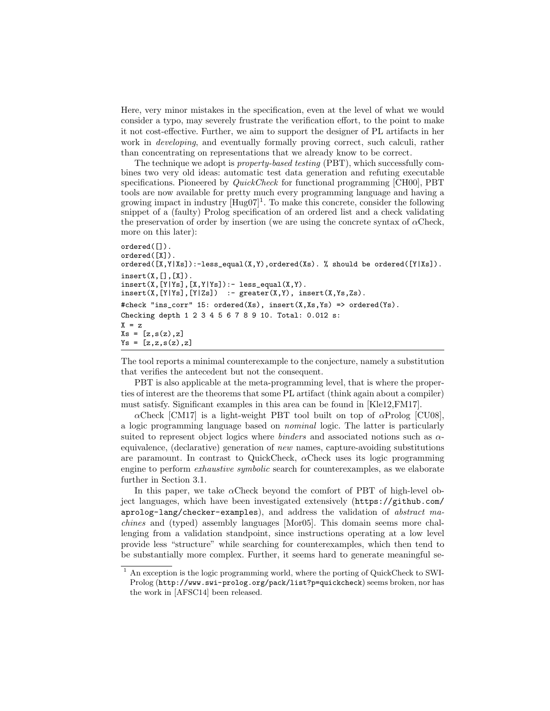Here, very minor mistakes in the specification, even at the level of what we would consider a typo, may severely frustrate the verification effort, to the point to make it not cost-effective. Further, we aim to support the designer of PL artifacts in her work in *developing*, and eventually formally proving correct, such calculi, rather than concentrating on representations that we already know to be correct.

The technique we adopt is property-based testing (PBT), which successfully combines two very old ideas: automatic test data generation and refuting executable specifications. Pioneered by *QuickCheck* for functional programming [CH00], PBT tools are now available for pretty much every programming language and having a growing impact in industry  $[Hug07]^1$ . To make this concrete, consider the following snippet of a (faulty) Prolog specification of an ordered list and a check validating the preservation of order by insertion (we are using the concrete syntax of  $\alpha$ Check, more on this later):

```
ordered([]).
ordered([X]).
ordered([X,Y|Xs]):-less\_equal(X,Y), ordered(Xs). % should be ordered([Y|Xs]).
insert(X, [1, [X])insert(X, [Y|Ys], [X, Y|Ys]) :- less\_equal(X, Y).insert(X, [Y|Ys], [Y|Zs]) :- greater(X,Y), insert(X,Ys,Zs).
#check "ins_corr" 15: ordered(Xs), insert(X,Xs,Ys) => ordered(Ys).
Checking depth 1 2 3 4 5 6 7 8 9 10. Total: 0.012 s:
X = zXs = [z,s(z),z]Ys = [z, z, s(z), z]
```
The tool reports a minimal counterexample to the conjecture, namely a substitution that verifies the antecedent but not the consequent.

PBT is also applicable at the meta-programming level, that is where the properties of interest are the theorems that some PL artifact (think again about a compiler) must satisfy. Significant examples in this area can be found in [Kle12,FM17].

 $\alpha$ Check [CM17] is a light-weight PBT tool built on top of  $\alpha$ Prolog [CU08], a logic programming language based on nominal logic. The latter is particularly suited to represent object logics where *binders* and associated notions such as  $\alpha$ equivalence, (declarative) generation of new names, capture-avoiding substitutions are paramount. In contrast to QuickCheck,  $\alpha$ Check uses its logic programming engine to perform *exhaustive symbolic* search for counterexamples, as we elaborate further in Section 3.1.

In this paper, we take  $\alpha$ Check beyond the comfort of PBT of high-level object languages, which have been investigated extensively (https://github.com/ aprolog-lang/checker-examples), and address the validation of abstract machines and (typed) assembly languages [Mor05]. This domain seems more challenging from a validation standpoint, since instructions operating at a low level provide less "structure" while searching for counterexamples, which then tend to be substantially more complex. Further, it seems hard to generate meaningful se-

<sup>&</sup>lt;sup>1</sup> An exception is the logic programming world, where the porting of QuickCheck to SWI-Prolog (http://www.swi-prolog.org/pack/list?p=quickcheck) seems broken, nor has the work in [AFSC14] been released.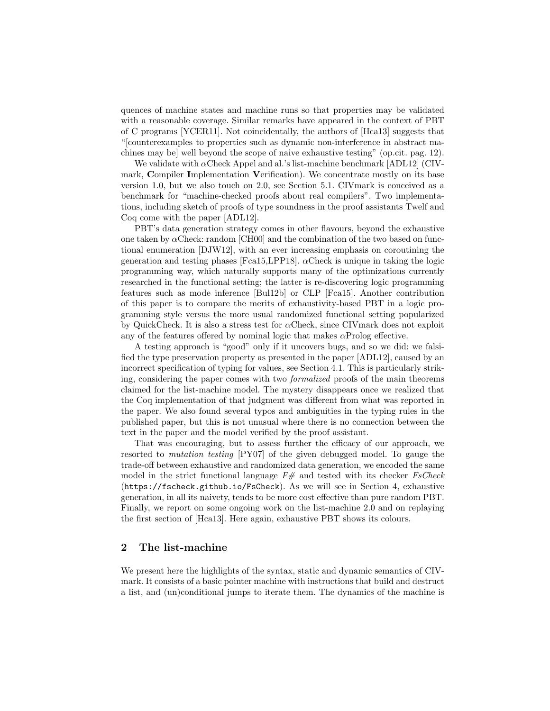quences of machine states and machine runs so that properties may be validated with a reasonable coverage. Similar remarks have appeared in the context of PBT of C programs [YCER11]. Not coincidentally, the authors of [Hca13] suggests that "[counterexamples to properties such as dynamic non-interference in abstract machines may be] well beyond the scope of naive exhaustive testing" (op.cit. pag. 12).

We validate with  $\alpha$ Check Appel and al.'s list-machine benchmark [ADL12] (CIVmark, Compiler Implementation Verification). We concentrate mostly on its base version 1.0, but we also touch on 2.0, see Section 5.1. CIVmark is conceived as a benchmark for "machine-checked proofs about real compilers". Two implementations, including sketch of proofs of type soundness in the proof assistants Twelf and Coq come with the paper [ADL12].

PBT's data generation strategy comes in other flavours, beyond the exhaustive one taken by  $\alpha$ Check: random [CH00] and the combination of the two based on functional enumeration [DJW12], with an ever increasing emphasis on coroutining the generation and testing phases [Fca15, LPP18].  $\alpha$ Check is unique in taking the logic programming way, which naturally supports many of the optimizations currently researched in the functional setting; the latter is re-discovering logic programming features such as mode inference [Bul12b] or CLP [Fca15]. Another contribution of this paper is to compare the merits of exhaustivity-based PBT in a logic programming style versus the more usual randomized functional setting popularized by QuickCheck. It is also a stress test for  $\alpha$ Check, since CIVmark does not exploit any of the features offered by nominal logic that makes  $\alpha$ Prolog effective.

A testing approach is "good" only if it uncovers bugs, and so we did: we falsified the type preservation property as presented in the paper [ADL12], caused by an incorrect specification of typing for values, see Section 4.1. This is particularly striking, considering the paper comes with two formalized proofs of the main theorems claimed for the list-machine model. The mystery disappears once we realized that the Coq implementation of that judgment was different from what was reported in the paper. We also found several typos and ambiguities in the typing rules in the published paper, but this is not unusual where there is no connection between the text in the paper and the model verified by the proof assistant.

That was encouraging, but to assess further the efficacy of our approach, we resorted to mutation testing [PY07] of the given debugged model. To gauge the trade-off between exhaustive and randomized data generation, we encoded the same model in the strict functional language  $F#$  and tested with its checker  $FsCheck$ (https://fscheck.github.io/FsCheck). As we will see in Section 4, exhaustive generation, in all its naivety, tends to be more cost effective than pure random PBT. Finally, we report on some ongoing work on the list-machine 2.0 and on replaying the first section of [Hca13]. Here again, exhaustive PBT shows its colours.

# 2 The list-machine

We present here the highlights of the syntax, static and dynamic semantics of CIVmark. It consists of a basic pointer machine with instructions that build and destruct a list, and (un)conditional jumps to iterate them. The dynamics of the machine is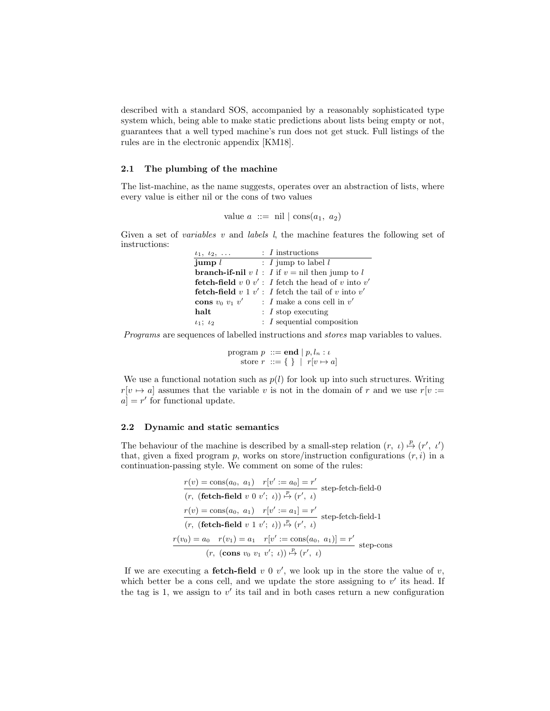described with a standard SOS, accompanied by a reasonably sophisticated type system which, being able to make static predictions about lists being empty or not, guarantees that a well typed machine's run does not get stuck. Full listings of the rules are in the electronic appendix [KM18].

### 2.1 The plumbing of the machine

The list-machine, as the name suggests, operates over an abstraction of lists, where every value is either nil or the cons of two values

value 
$$
a ::= \text{nil} | \text{cons}(a_1, a_2)
$$

Given a set of *variables* v and *labels* l, the machine features the following set of instructions:

| $t_1, t_2, \ldots$    | $: I$ instructions                                                |
|-----------------------|-------------------------------------------------------------------|
| jump $l$              | : $I$ jump to label $l$                                           |
|                       | <b>branch-if-nil</b> v l : I if $v = \text{nil}$ then jump to l   |
|                       | <b>fetch-field</b> v 0 $v'$ : I fetch the head of v into v'       |
|                       | <b>fetch-field</b> $v \perp v'$ : I fetch the tail of v into $v'$ |
| cons $v_0$ $v_1$ $v'$ | : I make a cons cell in $v'$                                      |
| halt                  | $: I$ stop executing                                              |
| $\iota_1$ ; $\iota_2$ | $: I$ sequential composition                                      |

Programs are sequences of labelled instructions and stores map variables to values.

$$
\begin{array}{c}\text{program } p ::= \mathbf{end} \mid p, l_n : \iota \\
\text{store } r ::= \{\ \} \mid r[v \mapsto a]\n\end{array}
$$

We use a functional notation such as  $p(l)$  for look up into such structures. Writing  $r[v \mapsto a]$  assumes that the variable v is not in the domain of r and we use  $r[v :=$  $a$  = r' for functional update.

### 2.2 Dynamic and static semantics

The behaviour of the machine is described by a small-step relation  $(r, \iota) \stackrel{p}{\mapsto} (r', \iota')$ that, given a fixed program p, works on store/instruction configurations  $(r, i)$  in a continuation-passing style. We comment on some of the rules:

$$
\frac{r(v) = \cos(a_0, a_1) \quad r[v' := a_0] = r'}{(r, (\text{ fetch-field } v \ 0 \ v'; \ t)) \stackrel{p}{\mapsto} (r', \ t)} \text{ step-fetch-field-0}
$$
\n
$$
\frac{r(v) = \cos(a_0, a_1) \quad r[v' := a_1] = r'}{(r, (\text{ fetch-field } v \ 1 \ v'; \ t)) \stackrel{p}{\mapsto} (r', \ t)} \text{ step-fetch-field-1}
$$
\n
$$
\frac{r(v_0) = a_0 \quad r(v_1) = a_1 \quad r[v' := \cos(a_0, a_1)] = r'}{(r, (\text{cons } v_0 \ v_1 \ v'; \ t)) \stackrel{p}{\mapsto} (r', \ t)} \text{ step-cons}
$$

If we are executing a **fetch-field**  $v \in V$ , we look up in the store the value of  $v$ , which better be a cons cell, and we update the store assigning to  $v'$  its head. If the tag is 1, we assign to  $v'$  its tail and in both cases return a new configuration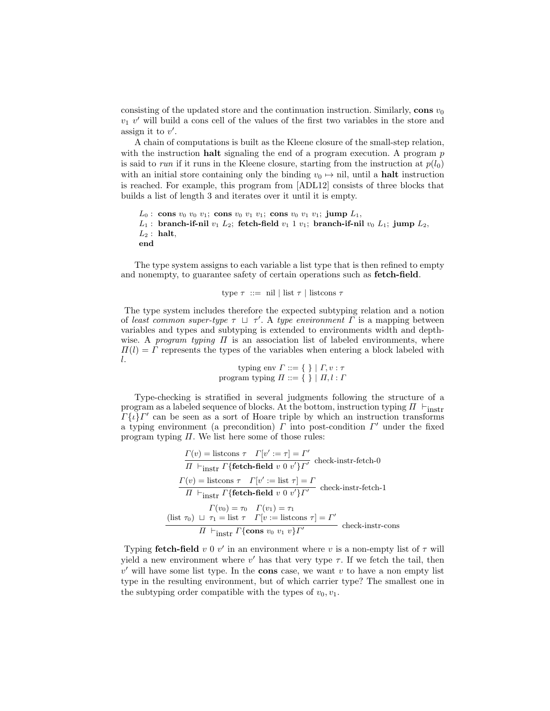consisting of the updated store and the continuation instruction. Similarly, cons  $v_0$  $v_1$  v' will build a cons cell of the values of the first two variables in the store and assign it to  $v'$ .

A chain of computations is built as the Kleene closure of the small-step relation, with the instruction **halt** signaling the end of a program execution. A program  $p$ is said to run if it runs in the Kleene closure, starting from the instruction at  $p(l_0)$ with an initial store containing only the binding  $v_0 \mapsto$  nil, until a **halt** instruction is reached. For example, this program from [ADL12] consists of three blocks that builds a list of length 3 and iterates over it until it is empty.

```
L_0: cons v_0 v_0 v_1; cons v_0 v_1 v_1; cons v_0 v_1 v_1; jump L_1,
L_1: branch-if-nil v_1 L_2; fetch-field v_1 1 v_1; branch-if-nil v_0 L_1; jump L_2,
L_2: halt,
end
```
The type system assigns to each variable a list type that is then refined to empty and nonempty, to guarantee safety of certain operations such as fetch-field.

```
type \tau ::= nil | list \tau | listcons \tau
```
The type system includes therefore the expected subtyping relation and a notion of least common super-type  $\tau \perp \tau'$ . A type environment  $\Gamma$  is a mapping between variables and types and subtyping is extended to environments width and depthwise. A program typing  $\Pi$  is an association list of labeled environments, where  $\Pi(l) = \Gamma$  represents the types of the variables when entering a block labeled with l.

$$
\text{typing env } \Gamma ::= \{ \} \mid \Gamma, v : \tau
$$
\n
$$
\text{program typing } \Pi ::= \{ \} \mid \Pi, l : \Gamma
$$

Type-checking is stratified in several judgments following the structure of a program as a labeled sequence of blocks. At the bottom, instruction typing  $\Pi$   $\vdash$ <sub>instr</sub>  $\Gamma\{\iota\} \Gamma'$  can be seen as a sort of Hoare triple by which an instruction transforms a typing environment (a precondition)  $\Gamma$  into post-condition  $\Gamma'$  under the fixed program typing  $\Pi$ . We list here some of those rules:

$$
\Gamma(v) = \text{listcons } \tau \quad \Gamma[v' := \tau] = \Gamma'
$$
\n
$$
\overline{H} \vdash_{\text{instr}} \Gamma\{\text{fetch-field } v \ 0 \ v'\} \Gamma'
$$
\n
$$
\text{check-instr-fetch-0}
$$
\n
$$
\frac{\Gamma(v) = \text{listcons } \tau \quad \Gamma[v' := \text{list } \tau] = \Gamma}{\overline{H} \vdash_{\text{instr}} \Gamma\{\text{fetch-field } v \ 0 \ v'\} \Gamma'}
$$
\n
$$
\text{check-instr-fetch-1}
$$
\n
$$
\Gamma(v_0) = \tau_0 \quad \Gamma(v_1) = \tau_1
$$
\n
$$
(\text{list } \tau_0) \ \sqcup \ \tau_1 = \text{list } \tau \quad \Gamma[v := \text{listcons } \tau] = \Gamma'
$$
\n
$$
\overline{H} \vdash_{\text{instr}} \Gamma\{\text{cons } v_0 \ v_1 \ v\} \Gamma'
$$
\n
$$
\text{check-instr-cons}
$$

Typing fetch-field  $v \cdot 0$   $v'$  in an environment where  $v$  is a non-empty list of  $\tau$  will yield a new environment where  $v'$  has that very type  $\tau$ . If we fetch the tail, then  $v'$  will have some list type. In the cons case, we want v to have a non empty list type in the resulting environment, but of which carrier type? The smallest one in the subtyping order compatible with the types of  $v_0, v_1$ .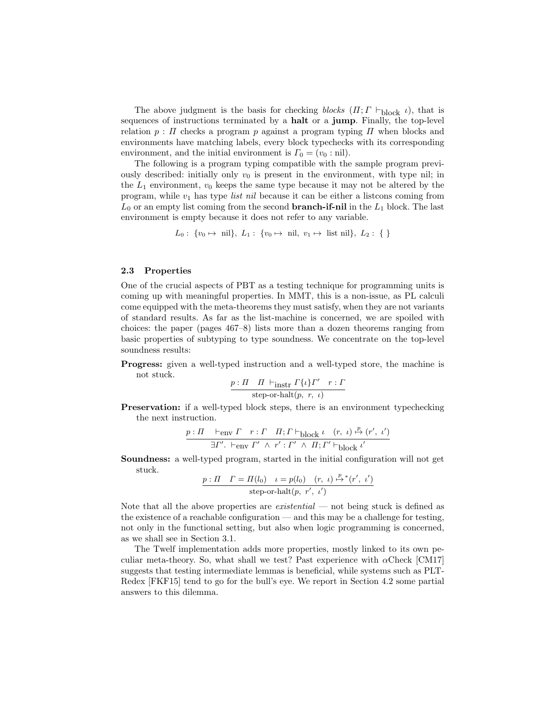The above judgment is the basis for checking blocks  $(\Pi; \Gamma \vdash_{\text{block } \iota})$ , that is sequences of instructions terminated by a halt or a jump. Finally, the top-level relation  $p : \Pi$  checks a program p against a program typing  $\Pi$  when blocks and environments have matching labels, every block typechecks with its corresponding environment, and the initial environment is  $\Gamma_0 = (v_0 : \text{nil}).$ 

The following is a program typing compatible with the sample program previously described: initially only  $v_0$  is present in the environment, with type nil; in the  $L_1$  environment,  $v_0$  keeps the same type because it may not be altered by the program, while  $v_1$  has type *list nil* because it can be either a listcons coming from  $L_0$  or an empty list coming from the second **branch-if-nil** in the  $L_1$  block. The last environment is empty because it does not refer to any variable.

$$
L_0: \{v_0 \mapsto \text{nil}\}, L_1: \{v_0 \mapsto \text{nil}, v_1 \mapsto \text{list nil}\}, L_2: \{\}
$$

### 2.3 Properties

One of the crucial aspects of PBT as a testing technique for programming units is coming up with meaningful properties. In MMT, this is a non-issue, as PL calculi come equipped with the meta-theorems they must satisfy, when they are not variants of standard results. As far as the list-machine is concerned, we are spoiled with choices: the paper (pages 467–8) lists more than a dozen theorems ranging from basic properties of subtyping to type soundness. We concentrate on the top-level soundness results:

Progress: given a well-typed instruction and a well-typed store, the machine is not stuck.

$$
\frac{p: \Pi \quad \Pi \ \vdash_{\text{instr}} \Gamma\{\iota\}\Gamma' \quad r: \Gamma}{\text{step-or-halt}(p, \ r, \ \iota)}
$$

Preservation: if a well-typed block steps, there is an environment typechecking the next instruction.

$$
\frac{p: \Pi \quad \vdash_{\text{env}} \Gamma \quad r: \Gamma \quad \Pi; \Gamma \vdash_{\text{block}} \iota \quad (r, \ \iota) \xrightarrow{\mathcal{P}} (r', \ \iota')}{\exists \Gamma'. \ \vdash_{\text{env}} \Gamma' \ \wedge \ r': \Gamma' \ \wedge \ \Pi; \Gamma' \vdash_{\text{block}} \iota'}
$$

Soundness: a well-typed program, started in the initial configuration will not get stuck.

$$
\underbrace{p: \Pi \quad \Gamma = \Pi(l_0) \quad \iota = p(l_0) \quad (r, \ \iota) \stackrel{p}{\mapsto}^*(r', \ \iota')
$$
  
step-or-halt $(p, \ r', \ \iota')$ 

Note that all the above properties are *existential* — not being stuck is defined as the existence of a reachable configuration — and this may be a challenge for testing, not only in the functional setting, but also when logic programming is concerned, as we shall see in Section 3.1.

The Twelf implementation adds more properties, mostly linked to its own peculiar meta-theory. So, what shall we test? Past experience with  $\alpha$ Check [CM17] suggests that testing intermediate lemmas is beneficial, while systems such as PLT-Redex [FKF15] tend to go for the bull's eye. We report in Section 4.2 some partial answers to this dilemma.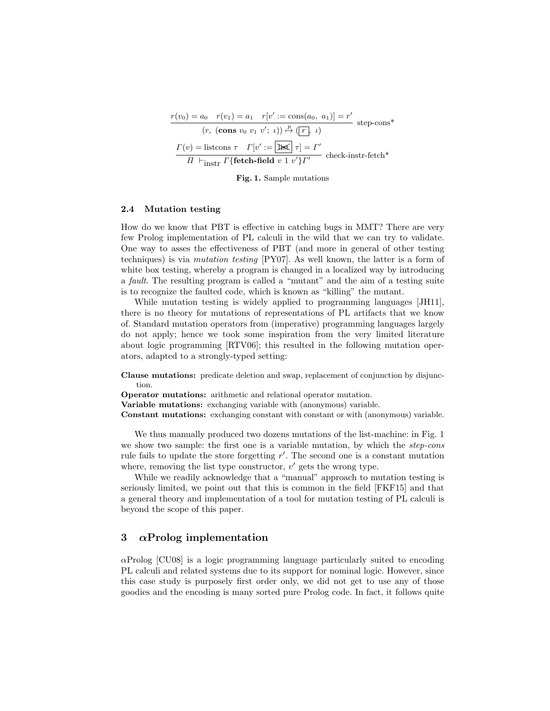$$
\frac{r(v_0) = a_0 \quad r(v_1) = a_1 \quad r[v' := \cos(a_0, \ a_1)] = r'}{(r, (\text{cons } v_0 \ v_1 \ v'; \ \iota)) \xrightarrow{\mathbb{P}} (\boxed{r}, \ \iota)} \text{ step-cons*}
$$

$$
\frac{\Gamma(v) = \text{listcons } \tau \quad \Gamma[v' := \boxed{\cancel{\text{Ist}}}{\pi} \tau] = \Gamma'}{\Pi \vdash_{\text{instr}} \Gamma \{\text{fetch-field } v \ 1 \ v'\} \Gamma' \text{ check-instr-fetch*}}
$$

Fig. 1. Sample mutations

### 2.4 Mutation testing

How do we know that PBT is effective in catching bugs in MMT? There are very few Prolog implementation of PL calculi in the wild that we can try to validate. One way to asses the effectiveness of PBT (and more in general of other testing techniques) is via mutation testing [PY07]. As well known, the latter is a form of white box testing, whereby a program is changed in a localized way by introducing a fault. The resulting program is called a "mutant" and the aim of a testing suite is to recognize the faulted code, which is known as "killing" the mutant.

While mutation testing is widely applied to programming languages [JH11], there is no theory for mutations of representations of PL artifacts that we know of. Standard mutation operators from (imperative) programming languages largely do not apply; hence we took some inspiration from the very limited literature about logic programming [RTV06]; this resulted in the following mutation operators, adapted to a strongly-typed setting:

Clause mutations: predicate deletion and swap, replacement of conjunction by disjunction.

Operator mutations: arithmetic and relational operator mutation.

Variable mutations: exchanging variable with (anonymous) variable.

Constant mutations: exchanging constant with constant or with (anonymous) variable.

We thus manually produced two dozens mutations of the list-machine: in Fig. 1 we show two sample: the first one is a variable mutation, by which the step-cons rule fails to update the store forgetting  $r'$ . The second one is a constant mutation where, removing the list type constructor,  $v'$  gets the wrong type.

While we readily acknowledge that a "manual" approach to mutation testing is seriously limited, we point out that this is common in the field [FKF15] and that a general theory and implementation of a tool for mutation testing of PL calculi is beyond the scope of this paper.

# 3  $\alpha$ Prolog implementation

 $\alpha$ Prolog [CU08] is a logic programming language particularly suited to encoding PL calculi and related systems due to its support for nominal logic. However, since this case study is purposely first order only, we did not get to use any of those goodies and the encoding is many sorted pure Prolog code. In fact, it follows quite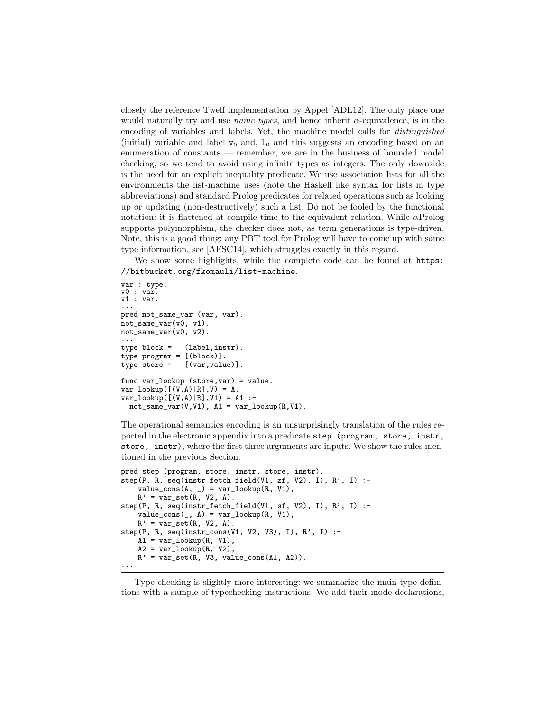closely the reference Twelf implementation by Appel [ADL12]. The only place one would naturally try and use *name types*, and hence inherit  $\alpha$ -equivalence, is in the encoding of variables and labels. Yet, the machine model calls for distinguished (initial) variable and label  $v_0$  and,  $l_0$  and this suggests an encoding based on an enumeration of constants — remember, we are in the business of bounded model checking, so we tend to avoid using infinite types as integers. The only downside is the need for an explicit inequality predicate. We use association lists for all the environments the list-machine uses (note the Haskell like syntax for lists in type abbreviations) and standard Prolog predicates for related operations such as looking up or updating (non-destructively) such a list. Do not be fooled by the functional notation: it is flattened at compile time to the equivalent relation. While  $\alpha$ Prolog supports polymorphism, the checker does not, as term generations is type-driven. Note, this is a good thing: any PBT tool for Prolog will have to come up with some type information, see [AFSC14], which struggles exactly in this regard.

We show some highlights, while the complete code can be found at  $https:$ //bitbucket.org/fkomauli/list-machine.

```
var : type.
v0 : var.
v1 : var.
...
pred not_same_var (var, var).
not_same_var(v0, v1).
not_same_var(v0, v2).
...
type block = (label,instr).
type program = [(block)].
type store = [(var,value)].
...
func var_lookup (store,var) = value.
var\_lookup([V,A)|R],V) = A.var_lookup([(V,A)|R],V1) = A1 :-
 not\_same\_var(V, V1), A1 = var\_lookup(R, V1).
```
The operational semantics encoding is an unsurprisingly translation of the rules reported in the electronic appendix into a predicate step (program, store, instr, store, instr), where the first three arguments are inputs. We show the rules mentioned in the previous Section.

```
pred step (program, store, instr, store, instr).
step(P, R, seq(instr_fetch_field(V1, zf, V2), I), R', I) :-
    value_{cons}(A, ) = var_{lookup}(R, V1),R' = var_set(R, V2, A).
step(P, R, seq(instr_fetch_field(V1, sf, V2), I), R', I) :-
    value_{cons}(\_, A) = var_{loop}(R, V1),R' = var_set(R, V2, A).
step(P, R, seq(instr_cons(V1, V2, V3), I), R', I) :-
    A1 = var\_lookup(R, V1),A2 = var\_lookup(R, V2),
    R' = var_set(R, V3, value\_cons(A1, A2))....
```
Type checking is slightly more interesting: we summarize the main type definitions with a sample of typechecking instructions. We add their mode declarations,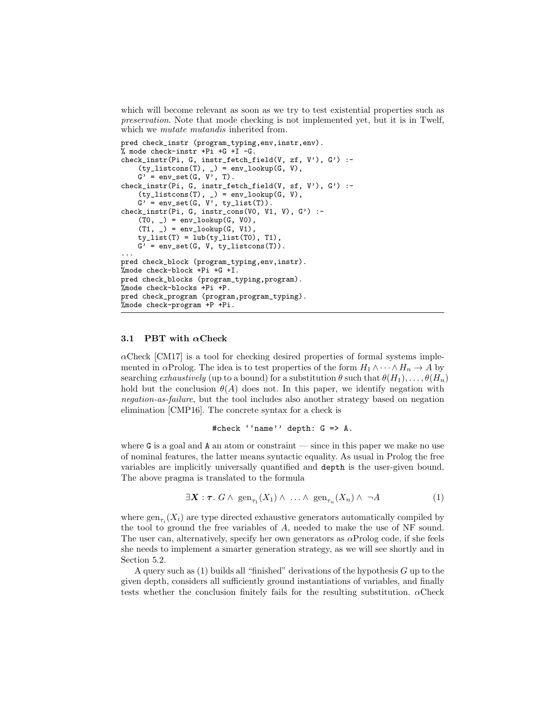which will become relevant as soon as we try to test existential properties such as preservation. Note that mode checking is not implemented yet, but it is in Twelf, which we *mutate mutandis* inherited from.

```
pred check_instr (program_typing,env,instr,env).
% mode check-instr +Pi +G +I -G.
check_instr(Pi, G, instr_fetch_field(V, zf, V'), G') :-
    (ty_1istcons(T), ) = env_lookup(G, V),
    G' = env_set(G, V', T).
check_instr(Pi, G, instr_fetch_field(V, sf, V'), G') :-
    (ty_{{-}}listcons(T), _{-}) = env\_lookup(G, V),G' = env_set(G, V', ty\_list(T)).check_instr(Pi, G, instr_cons(V0, V1, V), G') :-
    (T0, _{\_}) = env_{\_}lookup(G, V0),
    (T1, ) = env\_lookup(G, V1),ty\_list(T) = lub(ty\_list(T0), T1),G' = env_set(G, V, ty_listcons(T))....
pred check_block (program_typing,env,instr).
%mode check-block +Pi +G +I.
pred check_blocks (program_typing,program).
%mode check-blocks +Pi +P.
pred check_program (program,program_typing).
%mode check-program +P +Pi.
```
### 3.1 PBT with  $\alpha$ Check

 $\alpha$ Check [CM17] is a tool for checking desired properties of formal systems implemented in  $\alpha$ Prolog. The idea is to test properties of the form  $H_1 \wedge \cdots \wedge H_n \rightarrow A$  by searching exhaustively (up to a bound) for a substitution  $\theta$  such that  $\theta(H_1), \ldots, \theta(H_n)$ hold but the conclusion  $\theta(A)$  does not. In this paper, we identify negation with negation-as-failure, but the tool includes also another strategy based on negation elimination [CMP16]. The concrete syntax for a check is

```
#check ''name'' depth: G => A.
```
where  $G$  is a goal and  $A$  an atom or constraint — since in this paper we make no use of nominal features, the latter means syntactic equality. As usual in Prolog the free variables are implicitly universally quantified and depth is the user-given bound. The above pragma is translated to the formula

$$
\exists \mathbf{X} : \boldsymbol{\tau}. \ G \wedge \ \operatorname{gen}_{\tau_1}(X_1) \wedge \ \ldots \wedge \ \operatorname{gen}_{\tau_n}(X_n) \wedge \ \neg A \tag{1}
$$

where  $\text{gen}_{\tau_i}(X_i)$  are type directed exhaustive generators automatically compiled by the tool to ground the free variables of A, needed to make the use of NF sound. The user can, alternatively, specify her own generators as  $\alpha$ Prolog code, if she feels she needs to implement a smarter generation strategy, as we will see shortly and in Section 5.2.

A query such as  $(1)$  builds all "finished" derivations of the hypothesis G up to the given depth, considers all sufficiently ground instantiations of variables, and finally tests whether the conclusion finitely fails for the resulting substitution.  $\alpha$ Check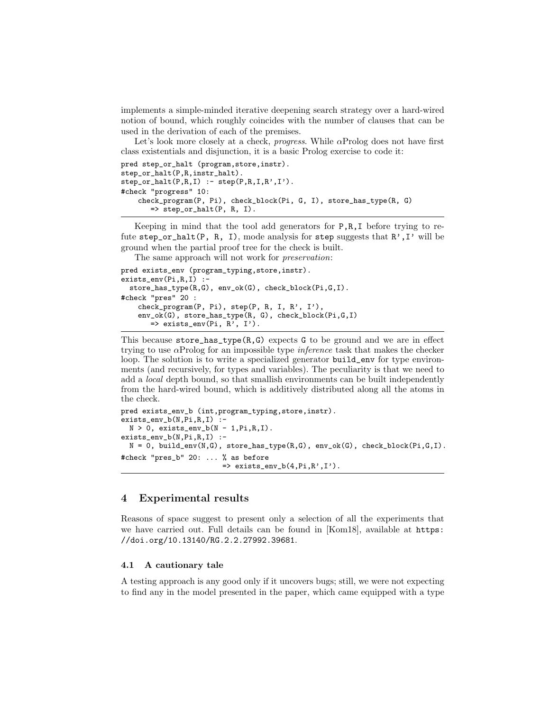implements a simple-minded iterative deepening search strategy over a hard-wired notion of bound, which roughly coincides with the number of clauses that can be used in the derivation of each of the premises.

Let's look more closely at a check, *progress*. While  $\alpha$ Prolog does not have first class existentials and disjunction, it is a basic Prolog exercise to code it:

```
pred step_or_halt (program,store,instr).
step_or_halt(P,R,instr_halt).
step_or_halt(P,R,I) :- step(P,R,I,R',I').#check "progress" 10:
    check_program(P, Pi), check_block(Pi, G, I), store_has_type(R, G)
       \Rightarrow step_or_halt(P, R, I).
```
Keeping in mind that the tool add generators for P,R,I before trying to refute step\_or\_halt(P, R, I), mode analysis for step suggests that  $R'$ , I' will be ground when the partial proof tree for the check is built.

The same approach will not work for *preservation*:

```
pred exists_env (program_typing,store,instr).
exists_env(Pi,R,I) :-
  store_has_type(R,G), env_ok(G), check_block(Pi,G,I).
#check "pres" 20 :
    check_program(P, Pi), step(P, R, I, R', I'),
    env_ok(G), store_has_type(R, G), check_block(Pi,G,I)
       \Rightarrow exists_env(Pi, R', I').
```
This because store\_has\_type $(R, G)$  expects G to be ground and we are in effect trying to use  $\alpha$ Prolog for an impossible type *inference* task that makes the checker loop. The solution is to write a specialized generator build\_env for type environments (and recursively, for types and variables). The peculiarity is that we need to add a *local* depth bound, so that smallish environments can be built independently from the hard-wired bound, which is additively distributed along all the atoms in the check.

```
pred exists_env_b (int,program_typing,store,instr).
exists_env_b(N,Pi,R,I) :
 N > 0, exists_env_b(N - 1, Pi, R, I).
exists_env_b(N,Pi,R,I) :-
  N = 0, build_env(N,G), store_has_type(R,G), env_ok(G), check_block(Pi,G,I).
#check "pres_b" 20: ... % as before
                         \Rightarrow exists_env_b(4,Pi,R',I').
```
# 4 Experimental results

Reasons of space suggest to present only a selection of all the experiments that we have carried out. Full details can be found in [Kom18], available at https: //doi.org/10.13140/RG.2.2.27992.39681.

#### 4.1 A cautionary tale

A testing approach is any good only if it uncovers bugs; still, we were not expecting to find any in the model presented in the paper, which came equipped with a type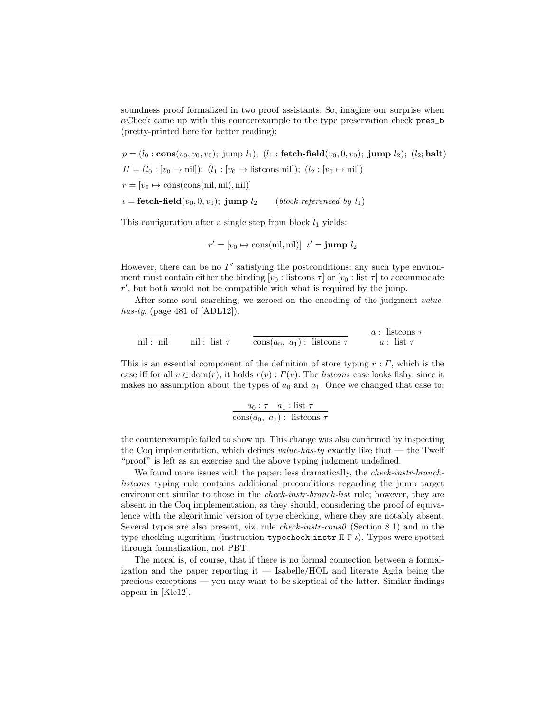soundness proof formalized in two proof assistants. So, imagine our surprise when  $\alpha$ Check came up with this counterexample to the type preservation check pres\_b (pretty-printed here for better reading):

$$
p = (l_0 : \mathbf{cons}(v_0, v_0, v_0); \text{ jump } l_1); (l_1 : \mathbf{fetch-field}(v_0, 0, v_0); \text{ jump } l_2); (l_2; \mathbf{halt})
$$
  
\n
$$
\Pi = (l_0 : [v_0 \mapsto \text{nil}]); (l_1 : [v_0 \mapsto \text{listcons nil}]); (l_2 : [v_0 \mapsto \text{nil}])
$$
  
\n
$$
r = [v_0 \mapsto \text{cons}(\text{cons}(\text{nil}, \text{nil}), \text{nil})]
$$
  
\n
$$
\iota = \mathbf{fetch-field}(v_0, 0, v_0); \text{ jump } l_2 \qquad \text{(block referenced by } l_1)
$$

This configuration after a single step from block  $l_1$  yields:

$$
r' = [v_0 \mapsto \text{cons}(\text{nil}, \text{nil})] \ \ t' = \text{jump } l_2
$$

However, there can be no  $\Gamma'$  satisfying the postconditions: any such type environment must contain either the binding  $[v_0: \text{listcons } \tau]$  or  $[v_0: \text{list } \tau]$  to accommodate  $r'$ , but both would not be compatible with what is required by the jump.

After some soul searching, we zeroed on the encoding of the judgment valuehas-ty, (page 481 of  $[ADL12]$ ).

$$
\overline{\text{nil}: \text{nil}} \qquad \overline{\text{nil}: \text{list } \tau} \qquad \overline{\text{cons}(a_0, a_1): \text{listcons } \tau} \qquad \frac{a: \text{ listcons } \tau}{a: \text{ list } \tau}
$$

This is an essential component of the definition of store typing  $r : \Gamma$ , which is the case iff for all  $v \in \text{dom}(r)$ , it holds  $r(v)$ :  $\Gamma(v)$ . The *listcons* case looks fishy, since it makes no assumption about the types of  $a_0$  and  $a_1$ . Once we changed that case to:

$$
\frac{a_0 : \tau \quad a_1 : \text{list } \tau}{\text{cons}(a_0, a_1) : \text{ listcons } \tau}
$$

the counterexample failed to show up. This change was also confirmed by inspecting the Coq implementation, which defines value-has-ty exactly like that — the Twelf "proof" is left as an exercise and the above typing judgment undefined.

We found more issues with the paper: less dramatically, the *check-instr-branch*listcons typing rule contains additional preconditions regarding the jump target environment similar to those in the *check-instr-branch-list* rule; however, they are absent in the Coq implementation, as they should, considering the proof of equivalence with the algorithmic version of type checking, where they are notably absent. Several typos are also present, viz. rule  $check-instr-cons0$  (Section 8.1) and in the type checking algorithm (instruction typecheck instr  $\Pi \Gamma t$ ). Typos were spotted through formalization, not PBT.

The moral is, of course, that if there is no formal connection between a formalization and the paper reporting it  $-$  Isabelle/HOL and literate Agda being the precious exceptions — you may want to be skeptical of the latter. Similar findings appear in [Kle12].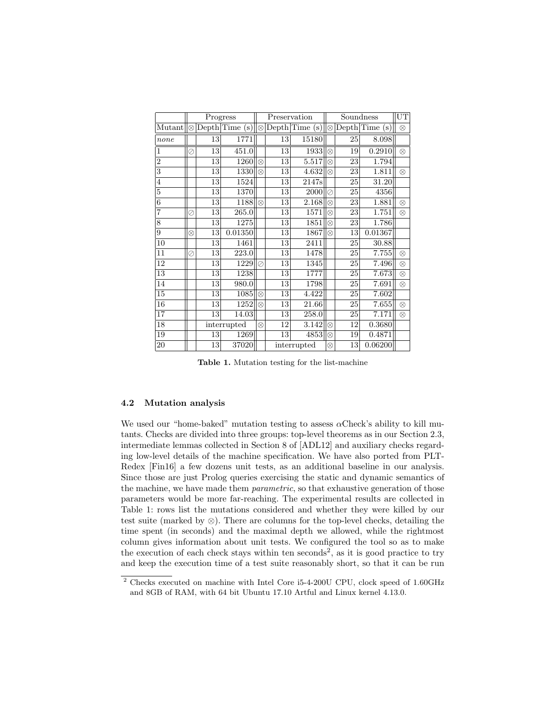|                | Progress  |                 |         | Preservation |                 |       | Soundness      |            |         | UT        |
|----------------|-----------|-----------------|---------|--------------|-----------------|-------|----------------|------------|---------|-----------|
| Mutant         | $\otimes$ | Depth Time      | (s)     | $\otimes$    | Depth Time      | (s)   | $\otimes$      | Depth Time | (s)     | $\otimes$ |
| none           |           | 13              | 1771    |              | 13              | 15180 |                | 25         | 8.098   |           |
| 1              | Ø         | 13              | 451.0   |              | 13              | 1933  | $\otimes$      | 19         | 0.2910  | $\otimes$ |
| $\overline{2}$ |           | 13              | 1260    | $\otimes$    | 13              | 5.517 | $\otimes$      | 23         | 1.794   |           |
| 3              |           | 13              | 1330    | $\otimes$    | 13              | 4.632 | $^{\circledR}$ | 23         | 1.811   | $\otimes$ |
| $\overline{4}$ |           | 13              | 1524    |              | 13              | 2147s |                | 25         | 31.20   |           |
| 5              |           | 13              | 1370    |              | 13              | 2000  | Ø              | 25         | 4356    |           |
| 6              |           | 13              | 1188    | $\otimes$    | 13              | 2.168 | $^{\circledR}$ | 23         | 1.881   | $\otimes$ |
| $\overline{7}$ | Ø         | 13              | 265.0   |              | 13              | 1571  | $\otimes$      | 23         | 1.751   | $\otimes$ |
| 8              |           | $\overline{13}$ | 1275    |              | 13              | 1851  | $\otimes$      | 23         | 1.786   |           |
| 9              | $\otimes$ | 13              | 0.01350 |              | 13              | 1867  | $\otimes$      | 13         | 0.01367 |           |
| 10             |           | 13              | 1461    |              | 13              | 2411  |                | 25         | 30.88   |           |
| 11             | ⊘         | 13              | 223.0   |              | 13              | 1478  |                | 25         | 7.755   | $\otimes$ |
| 12             |           | 13              | 1229    | ⊘            | $\overline{1}3$ | 1345  |                | 25         | 7.496   | $\otimes$ |
| 13             |           | 13              | 1238    |              | 13              | 1777  |                | 25         | 7.673   | $\otimes$ |
| 14             |           | 13              | 980.0   |              | 13              | 1798  |                | 25         | 7.691   | $\otimes$ |
| 15             |           | 13              | 1085    | $\otimes$    | 13              | 4.422 |                | 25         | 7.602   |           |
| 16             |           | 13              | 1252    | $\otimes$    | 13              | 21.66 |                | 25         | 7.655   | $\otimes$ |
| 17             |           | 13              | 14.03   |              | 13              | 258.0 |                | 25         | 7.171   | $\otimes$ |
| 18             |           | interrupted     |         | $\otimes$    | 12              | 3.142 | $\otimes$      | 12         | 0.3680  |           |
| 19             |           | 13              | 1269    |              | 13              | 4853  | $\otimes$      | 19         | 0.4871  |           |
| $20\,$         |           | 13              | 37020   |              | interrupted     |       |                | 13         | 0.06200 |           |

Table 1. Mutation testing for the list-machine

### 4.2 Mutation analysis

We used our "home-baked" mutation testing to assess  $\alpha$ Check's ability to kill mutants. Checks are divided into three groups: top-level theorems as in our Section 2.3, intermediate lemmas collected in Section 8 of [ADL12] and auxiliary checks regarding low-level details of the machine specification. We have also ported from PLT-Redex [Fin16] a few dozens unit tests, as an additional baseline in our analysis. Since those are just Prolog queries exercising the static and dynamic semantics of the machine, we have made them *parametric*, so that exhaustive generation of those parameters would be more far-reaching. The experimental results are collected in Table 1: rows list the mutations considered and whether they were killed by our test suite (marked by ⊗). There are columns for the top-level checks, detailing the time spent (in seconds) and the maximal depth we allowed, while the rightmost column gives information about unit tests. We configured the tool so as to make the execution of each check stays within ten seconds<sup>2</sup>, as it is good practice to try and keep the execution time of a test suite reasonably short, so that it can be run

<sup>2</sup> Checks executed on machine with Intel Core i5-4-200U CPU, clock speed of 1.60GHz and 8GB of RAM, with 64 bit Ubuntu 17.10 Artful and Linux kernel 4.13.0.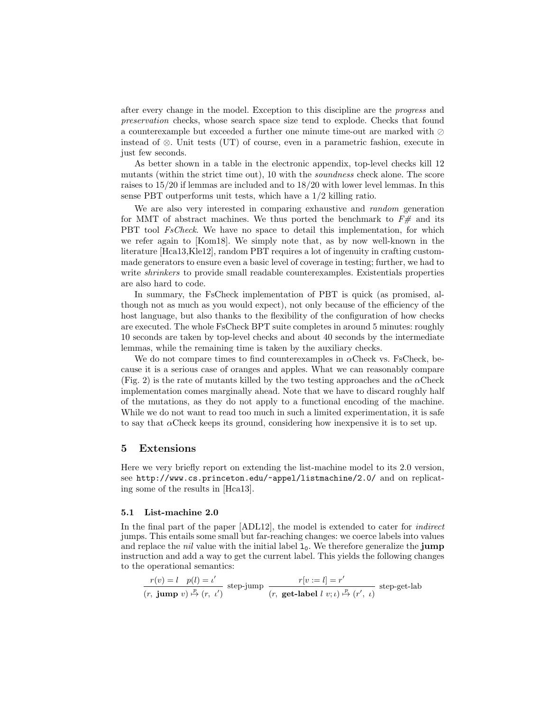after every change in the model. Exception to this discipline are the progress and preservation checks, whose search space size tend to explode. Checks that found a counterexample but exceeded a further one minute time-out are marked with  $\oslash$ instead of ⊗. Unit tests (UT) of course, even in a parametric fashion, execute in just few seconds.

As better shown in a table in the electronic appendix, top-level checks kill 12 mutants (within the strict time out), 10 with the soundness check alone. The score raises to 15/20 if lemmas are included and to 18/20 with lower level lemmas. In this sense PBT outperforms unit tests, which have a 1/2 killing ratio.

We are also very interested in comparing exhaustive and *random* generation for MMT of abstract machines. We thus ported the benchmark to  $F#$  and its PBT tool FsCheck. We have no space to detail this implementation, for which we refer again to [Kom18]. We simply note that, as by now well-known in the literature [Hca13,Kle12], random PBT requires a lot of ingenuity in crafting custommade generators to ensure even a basic level of coverage in testing; further, we had to write *shrinkers* to provide small readable counterexamples. Existentials properties are also hard to code.

In summary, the FsCheck implementation of PBT is quick (as promised, although not as much as you would expect), not only because of the efficiency of the host language, but also thanks to the flexibility of the configuration of how checks are executed. The whole FsCheck BPT suite completes in around 5 minutes: roughly 10 seconds are taken by top-level checks and about 40 seconds by the intermediate lemmas, while the remaining time is taken by the auxiliary checks.

We do not compare times to find counterexamples in  $\alpha$ Check vs. FsCheck, because it is a serious case of oranges and apples. What we can reasonably compare (Fig. 2) is the rate of mutants killed by the two testing approaches and the  $\alpha$ Check implementation comes marginally ahead. Note that we have to discard roughly half of the mutations, as they do not apply to a functional encoding of the machine. While we do not want to read too much in such a limited experimentation, it is safe to say that  $\alpha$ Check keeps its ground, considering how inexpensive it is to set up.

### 5 Extensions

Here we very briefly report on extending the list-machine model to its 2.0 version, see http://www.cs.princeton.edu/~appel/listmachine/2.0/ and on replicating some of the results in [Hca13].

#### 5.1 List-machine 2.0

In the final part of the paper [ADL12], the model is extended to cater for indirect jumps. This entails some small but far-reaching changes: we coerce labels into values and replace the *nil* value with the initial label  $1<sub>0</sub>$ . We therefore generalize the **jump** instruction and add a way to get the current label. This yields the following changes to the operational semantics:

$$
\frac{r(v) = l \quad p(l) = \iota'}{(r, \textbf{ jump } v) \stackrel{p}{\mapsto} (r, \ \iota')} \text{ step-jump } \frac{r[v := l] = r'}{(r, \textbf{ get-label } l \ v; \iota) \stackrel{p}{\mapsto} (r', \ \iota)} \text{ step-set-label}
$$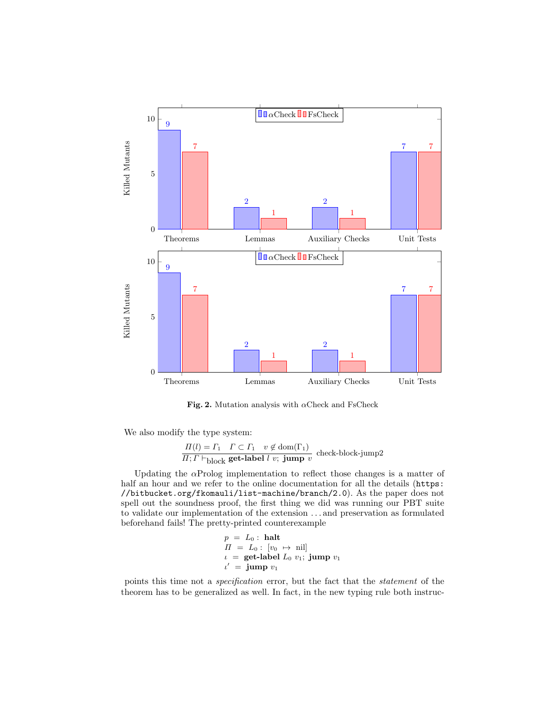

Fig. 2. Mutation analysis with  $\alpha$ Check and FsCheck

We also modify the type system:

$$
\frac{\Pi(l) = \Gamma_1 \quad \Gamma \subset \Gamma_1 \quad v \notin \text{dom}(\Gamma_1)}{\Pi; \Gamma \vdash_{\text{block}} \text{get-label } l \ v; \ \text{jump } v} \text{ check-block-jump2}
$$

Updating the  $\alpha$ Prolog implementation to reflect those changes is a matter of half an hour and we refer to the online documentation for all the details (https: //bitbucket.org/fkomauli/list-machine/branch/2.0). As the paper does not spell out the soundness proof, the first thing we did was running our PBT suite to validate our implementation of the extension . . . and preservation as formulated beforehand fails! The pretty-printed counterexample

$$
p = L_0: \text{ halt}
$$
  
\n
$$
H = L_0: [v_0 \mapsto \text{nil}]
$$
  
\n
$$
\iota = \text{get-label } L_0 v_1; \text{ jump } v_1
$$
  
\n
$$
\iota' = \text{jump } v_1
$$

points this time not a specification error, but the fact that the statement of the theorem has to be generalized as well. In fact, in the new typing rule both instruc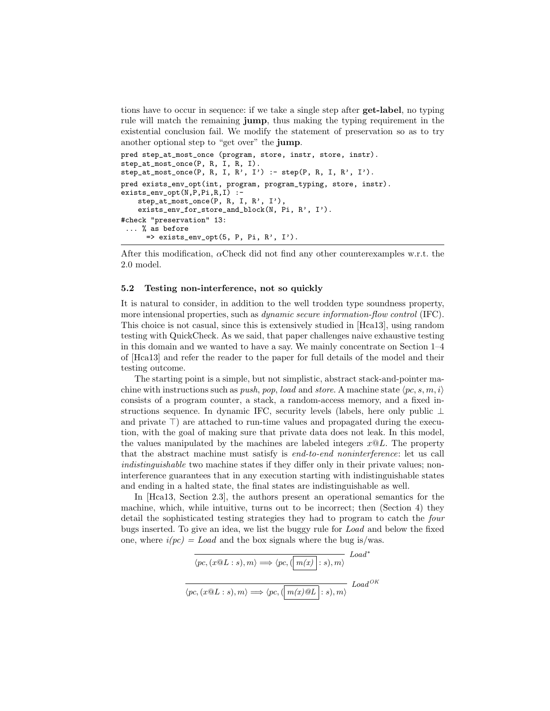tions have to occur in sequence: if we take a single step after get-label, no typing rule will match the remaining jump, thus making the typing requirement in the existential conclusion fail. We modify the statement of preservation so as to try another optional step to "get over" the jump.

```
pred step_at_most_once (program, store, instr, store, instr).
step_at_most_once(P, R, I, R, I).
step\_at\_most\_once(P, R, I, R', I') :- step(P, R, I, R', I').
pred exists_env_opt(int, program, program_typing, store, instr).
exists_env_opt(N,P,Pi,R,I) :-
    step_at_most_once(P, R, I, R', I'),
    exists_env_for_store_and_block(N, Pi, R', I').
#check "preservation" 13:
 ... % as before
      \Rightarrow exists_env_opt(5, P, Pi, R', I').
```
After this modification, αCheck did not find any other counterexamples w.r.t. the 2.0 model.

#### 5.2 Testing non-interference, not so quickly

It is natural to consider, in addition to the well trodden type soundness property, more intensional properties, such as dynamic secure information-flow control (IFC). This choice is not casual, since this is extensively studied in [Hca13], using random testing with QuickCheck. As we said, that paper challenges naive exhaustive testing in this domain and we wanted to have a say. We mainly concentrate on Section 1–4 of [Hca13] and refer the reader to the paper for full details of the model and their testing outcome.

The starting point is a simple, but not simplistic, abstract stack-and-pointer machine with instructions such as *push, pop, load* and *store.* A machine state  $\langle pc, s, m, i \rangle$ consists of a program counter, a stack, a random-access memory, and a fixed instructions sequence. In dynamic IFC, security levels (labels, here only public ⊥ and private  $\top$ ) are attached to run-time values and propagated during the execution, with the goal of making sure that private data does not leak. In this model, the values manipulated by the machines are labeled integers  $x@L$ . The property that the abstract machine must satisfy is end-to-end noninterference: let us call indistinguishable two machine states if they differ only in their private values; noninterference guarantees that in any execution starting with indistinguishable states and ending in a halted state, the final states are indistinguishable as well.

In [Hca13, Section 2.3], the authors present an operational semantics for the machine, which, while intuitive, turns out to be incorrect; then (Section 4) they detail the sophisticated testing strategies they had to program to catch the four bugs inserted. To give an idea, we list the buggy rule for Load and below the fixed one, where  $i(pc) = Load$  and the box signals where the bug is/was.

| $\langle pc, (x@L:s), m \rangle \Longrightarrow \langle pc, (\left \vert \, m(x) \right \vert:s), m \rangle$ | $Load^*$    |
|--------------------------------------------------------------------------------------------------------------|-------------|
| $\langle pc, (x@L:s), m \rangle \Longrightarrow \langle pc, (\boxed{m(x)@L} : s), m \rangle$                 | $Load^{OK}$ |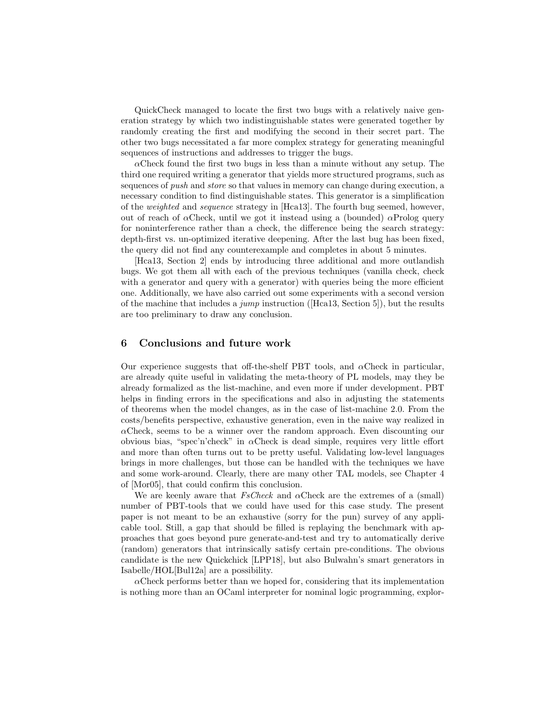QuickCheck managed to locate the first two bugs with a relatively naive generation strategy by which two indistinguishable states were generated together by randomly creating the first and modifying the second in their secret part. The other two bugs necessitated a far more complex strategy for generating meaningful sequences of instructions and addresses to trigger the bugs.

 $\alpha$ Check found the first two bugs in less than a minute without any setup. The third one required writing a generator that yields more structured programs, such as sequences of push and store so that values in memory can change during execution, a necessary condition to find distinguishable states. This generator is a simplification of the weighted and sequence strategy in [Hca13]. The fourth bug seemed, however, out of reach of  $\alpha$ Check, until we got it instead using a (bounded)  $\alpha$ Prolog query for noninterference rather than a check, the difference being the search strategy: depth-first vs. un-optimized iterative deepening. After the last bug has been fixed, the query did not find any counterexample and completes in about 5 minutes.

[Hca13, Section 2] ends by introducing three additional and more outlandish bugs. We got them all with each of the previous techniques (vanilla check, check with a generator and query with a generator) with queries being the more efficient one. Additionally, we have also carried out some experiments with a second version of the machine that includes a *jump* instruction ([Hca13, Section 5]), but the results are too preliminary to draw any conclusion.

# 6 Conclusions and future work

Our experience suggests that off-the-shelf PBT tools, and  $\alpha$ Check in particular, are already quite useful in validating the meta-theory of PL models, may they be already formalized as the list-machine, and even more if under development. PBT helps in finding errors in the specifications and also in adjusting the statements of theorems when the model changes, as in the case of list-machine 2.0. From the costs/benefits perspective, exhaustive generation, even in the naive way realized in  $\alpha$ Check, seems to be a winner over the random approach. Even discounting our obvious bias, "spec'n'check" in αCheck is dead simple, requires very little effort and more than often turns out to be pretty useful. Validating low-level languages brings in more challenges, but those can be handled with the techniques we have and some work-around. Clearly, there are many other TAL models, see Chapter 4 of [Mor05], that could confirm this conclusion.

We are keenly aware that  $FsCheck$  and  $\alphaCheck$  are the extremes of a (small) number of PBT-tools that we could have used for this case study. The present paper is not meant to be an exhaustive (sorry for the pun) survey of any applicable tool. Still, a gap that should be filled is replaying the benchmark with approaches that goes beyond pure generate-and-test and try to automatically derive (random) generators that intrinsically satisfy certain pre-conditions. The obvious candidate is the new Quickchick [LPP18], but also Bulwahn's smart generators in Isabelle/HOL[Bul12a] are a possibility.

 $\alpha$ Check performs better than we hoped for, considering that its implementation is nothing more than an OCaml interpreter for nominal logic programming, explor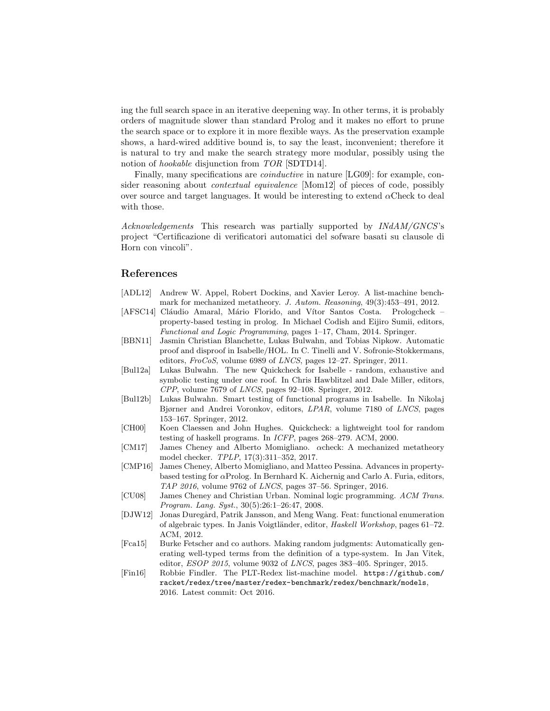ing the full search space in an iterative deepening way. In other terms, it is probably orders of magnitude slower than standard Prolog and it makes no effort to prune the search space or to explore it in more flexible ways. As the preservation example shows, a hard-wired additive bound is, to say the least, inconvenient; therefore it is natural to try and make the search strategy more modular, possibly using the notion of hookable disjunction from TOR [SDTD14].

Finally, many specifications are *coinductive* in nature [LG09]: for example, consider reasoning about contextual equivalence [Mom12] of pieces of code, possibly over source and target languages. It would be interesting to extend  $\alpha$ Check to deal with those.

Acknowledgements This research was partially supported by INdAM/GNCS's project "Certificazione di verificatori automatici del sofware basati su clausole di Horn con vincoli".

# References

- [ADL12] Andrew W. Appel, Robert Dockins, and Xavier Leroy. A list-machine benchmark for mechanized metatheory. J. Autom. Reasoning, 49(3):453–491, 2012.
- [AFSC14] Cláudio Amaral, Mário Florido, and Vítor Santos Costa. Prologcheck property-based testing in prolog. In Michael Codish and Eijiro Sumii, editors, Functional and Logic Programming, pages 1–17, Cham, 2014. Springer.
- [BBN11] Jasmin Christian Blanchette, Lukas Bulwahn, and Tobias Nipkow. Automatic proof and disproof in Isabelle/HOL. In C. Tinelli and V. Sofronie-Stokkermans, editors, FroCoS, volume 6989 of LNCS, pages 12–27. Springer, 2011.
- [Bul12a] Lukas Bulwahn. The new Quickcheck for Isabelle random, exhaustive and symbolic testing under one roof. In Chris Hawblitzel and Dale Miller, editors, CPP, volume 7679 of LNCS, pages 92–108. Springer, 2012.
- [Bul12b] Lukas Bulwahn. Smart testing of functional programs in Isabelle. In Nikolaj Bjørner and Andrei Voronkov, editors, LPAR, volume 7180 of LNCS, pages 153–167. Springer, 2012.
- [CH00] Koen Claessen and John Hughes. Quickcheck: a lightweight tool for random testing of haskell programs. In ICFP, pages 268–279. ACM, 2000.
- [CM17] James Cheney and Alberto Momigliano. αcheck: A mechanized metatheory model checker. TPLP, 17(3):311–352, 2017.
- [CMP16] James Cheney, Alberto Momigliano, and Matteo Pessina. Advances in propertybased testing for  $\alpha$ Prolog. In Bernhard K. Aichernig and Carlo A. Furia, editors, TAP 2016, volume 9762 of LNCS, pages 37–56. Springer, 2016.
- [CU08] James Cheney and Christian Urban. Nominal logic programming. ACM Trans. Program. Lang. Syst., 30(5):26:1–26:47, 2008.
- [DJW12] Jonas Duregård, Patrik Jansson, and Meng Wang. Feat: functional enumeration of algebraic types. In Janis Voigtländer, editor, Haskell Workshop, pages 61–72. ACM, 2012.
- [Fca15] Burke Fetscher and co authors. Making random judgments: Automatically generating well-typed terms from the definition of a type-system. In Jan Vitek, editor, ESOP 2015, volume 9032 of LNCS, pages 383–405. Springer, 2015.
- [Fin16] Robbie Findler. The PLT-Redex list-machine model. https://github.com/ racket/redex/tree/master/redex-benchmark/redex/benchmark/models, 2016. Latest commit: Oct 2016.